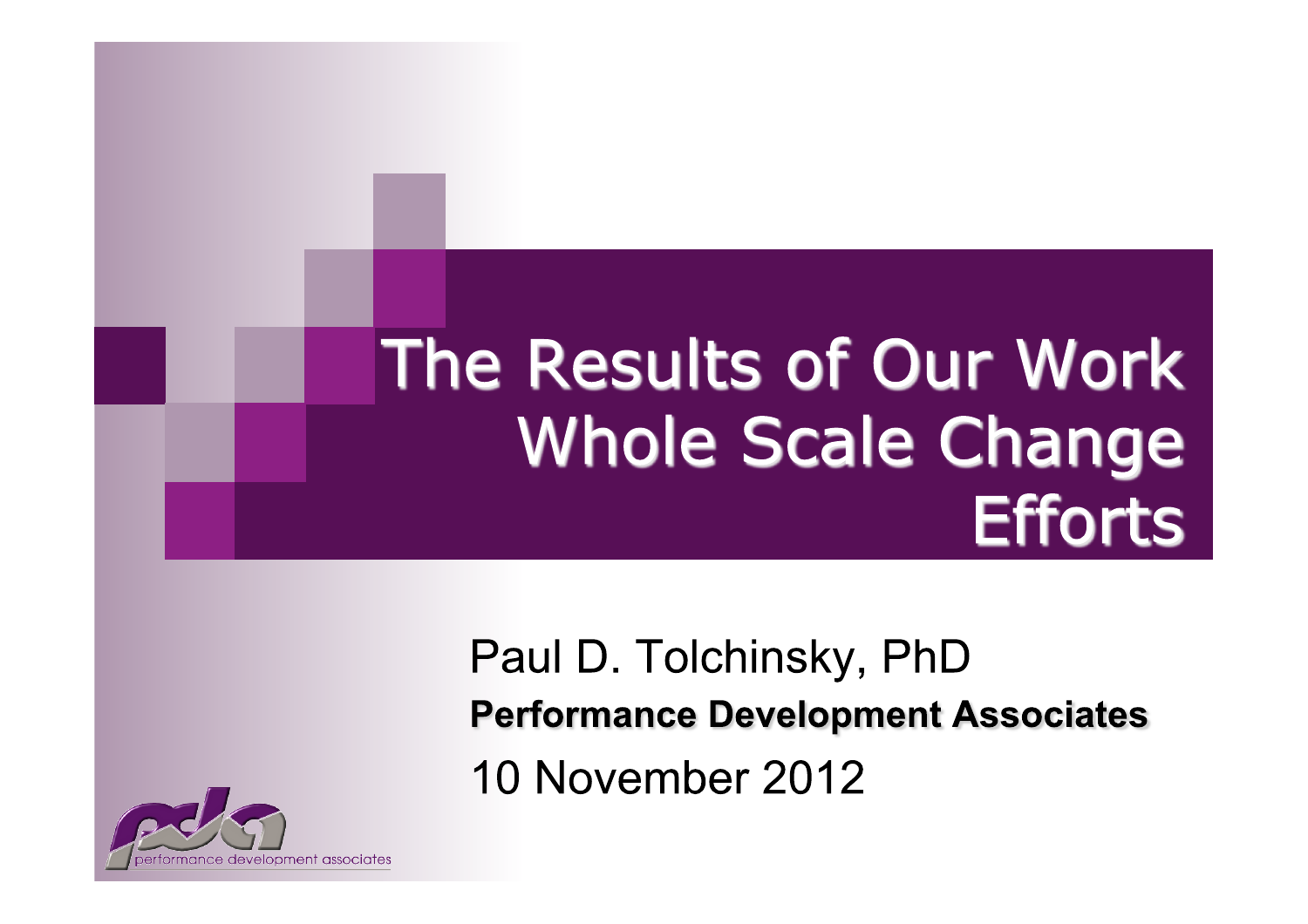# The Results of Our Work **Whole Scale Change Efforts**

Paul D. Tolchinsky, PhD **Performance Development Associates 10 November 2012** 

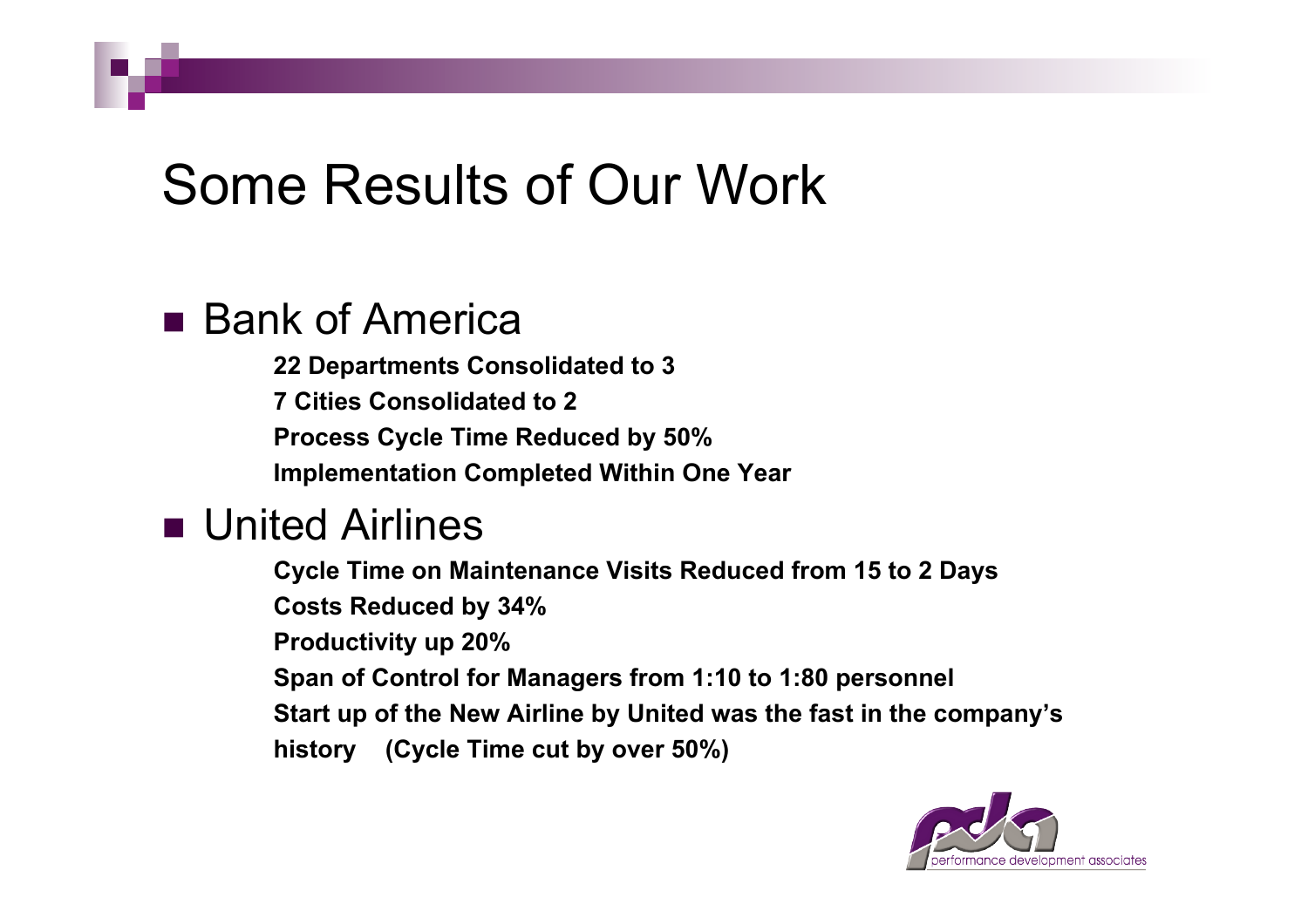## Some Results of Our Work

#### ■ Bank of America

**22 Departments Consolidated to 3 7 Cities Consolidated to 2 Process Cycle Time Reduced by 50% Implementation Completed Within One Year**

### **<u>■ United Airlines</u>**

**Cycle Time on Maintenance Visits Reduced from 15 to 2 Days Costs Reduced by 34% Productivity up 20% Span of Control for Managers from 1:10 to 1:80 personnel Start up of the New Airline by United was the fast in the company's history (Cycle Time cut by over 50%)**

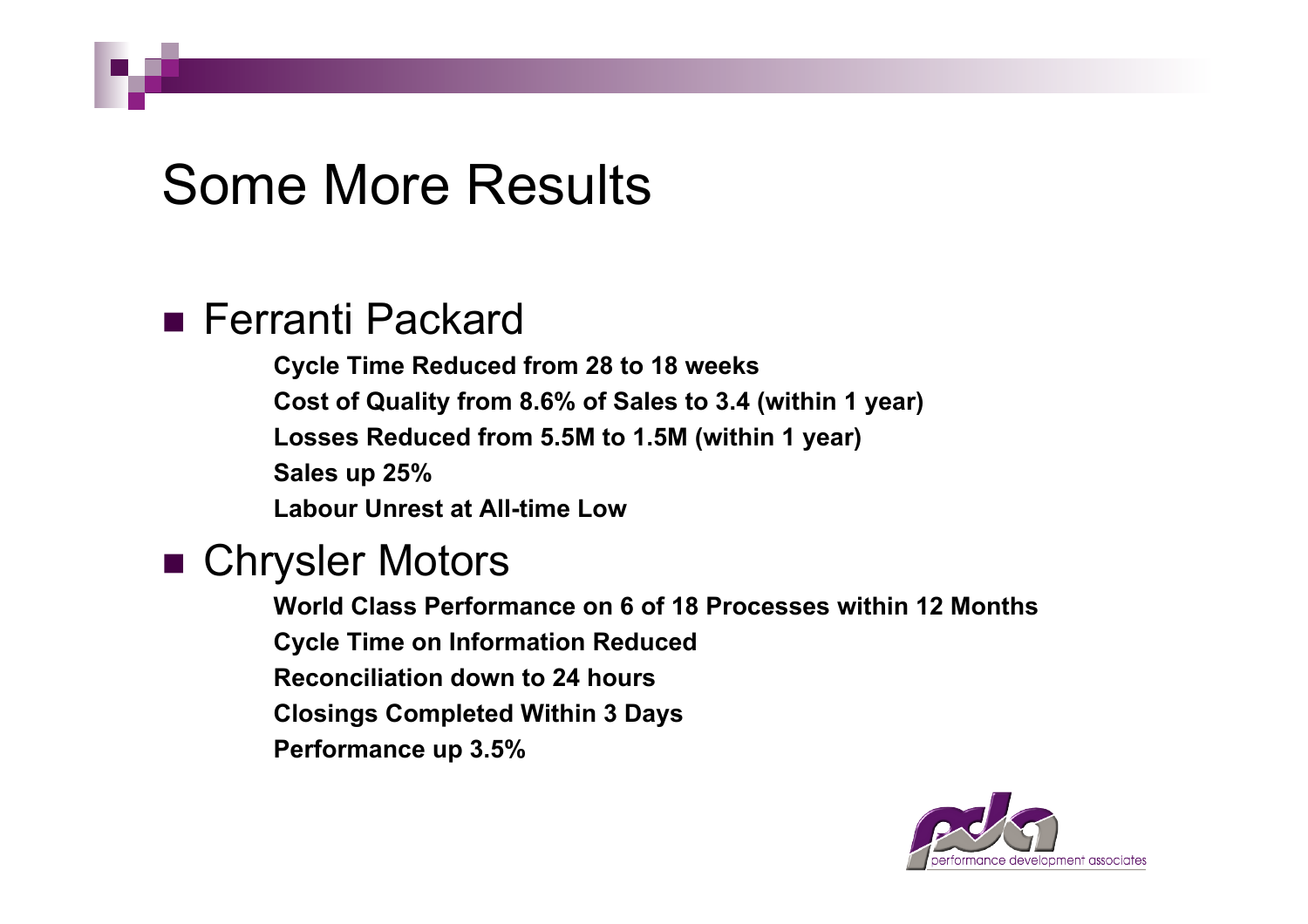### Some More Results

#### ■ Ferranti Packard

**Cycle Time Reduced from 28 to 18 weeks Cost of Quality from 8.6% of Sales to 3.4 (within 1 year) Losses Reduced from 5.5M to 1.5M (within 1 year) Sales up 25% Labour Unrest at All-time Low** 

#### ■ Chrysler Motors

**World Class Performance on 6 of 18 Processes within 12 Months Cycle Time on Information Reduced Reconciliation down to 24 hours Closings Completed Within 3 Days Performance up 3.5%**

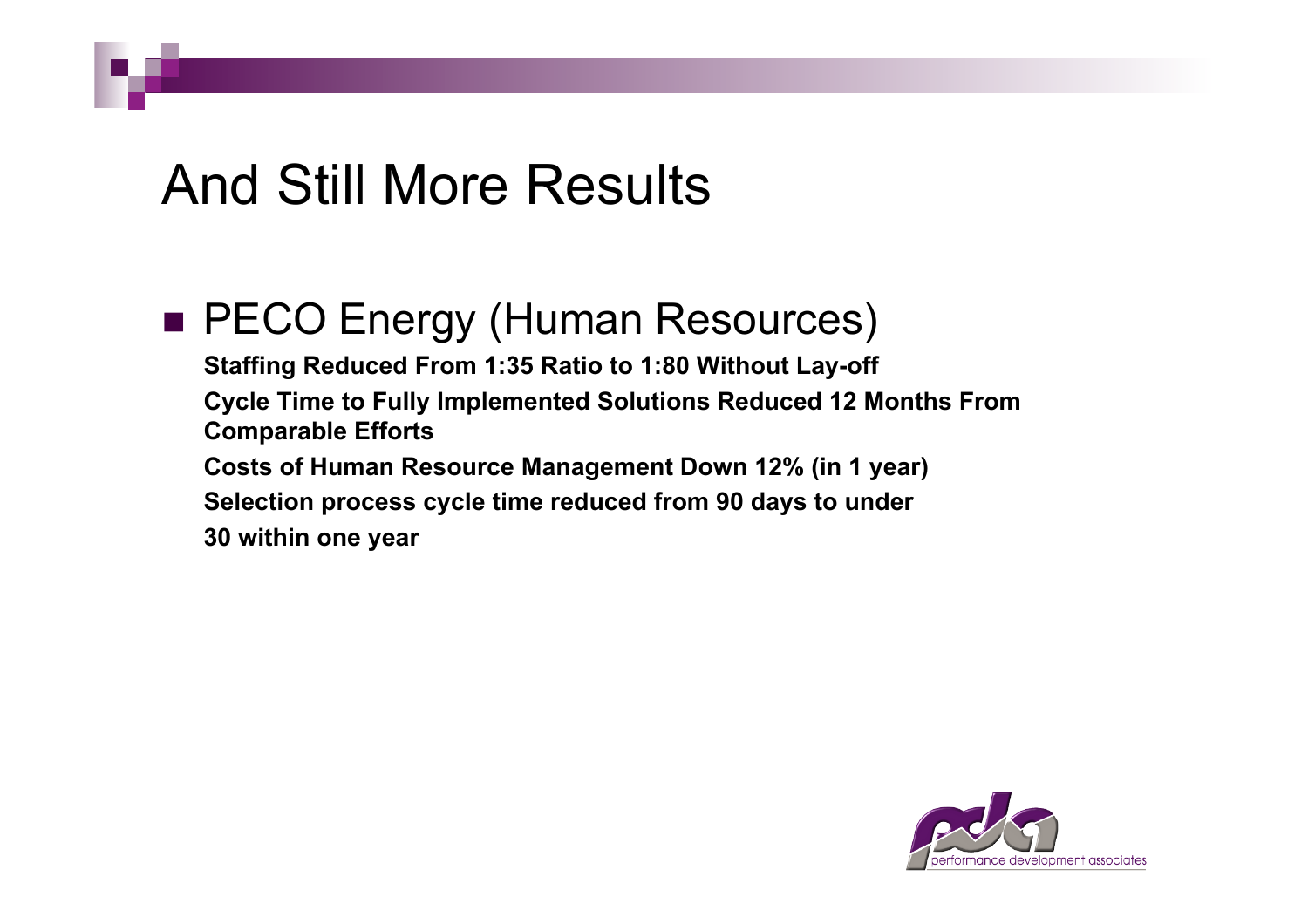### And Still More Results

### **PECO Energy (Human Resources)**

**Staffing Reduced From 1:35 Ratio to 1:80 Without Lay-off Cycle Time to Fully Implemented Solutions Reduced 12 Months From Comparable Efforts Costs of Human Resource Management Down 12% (in 1 year) Selection process cycle time reduced from 90 days to under 30 within one year** 

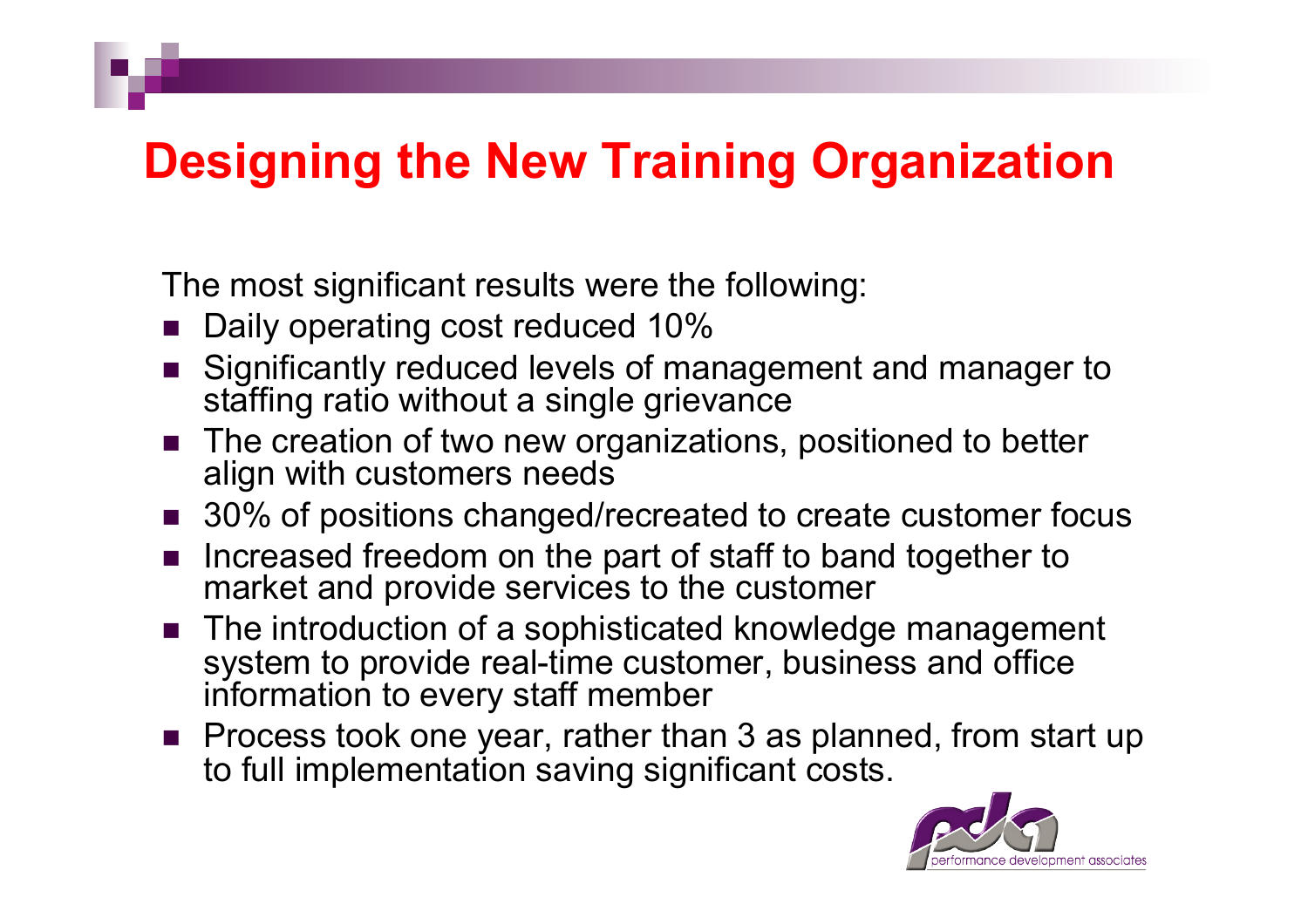### **Designing the New Training Organization**

The most significant results were the following:

- Daily operating cost reduced 10%
- Significantly reduced levels of management and manager to staffing ratio without a single grievance
- The creation of two new organizations, positioned to better align with customers needs
- 30% of positions changed/recreated to create customer focus
- Increased freedom on the part of staff to band together to market and provide services to the customer
- The introduction of a sophisticated knowledge management system to provide real-time customer, business and office information to every staff member
- **Process took one year, rather than 3 as planned, from start up** to full implementation saving significant costs.